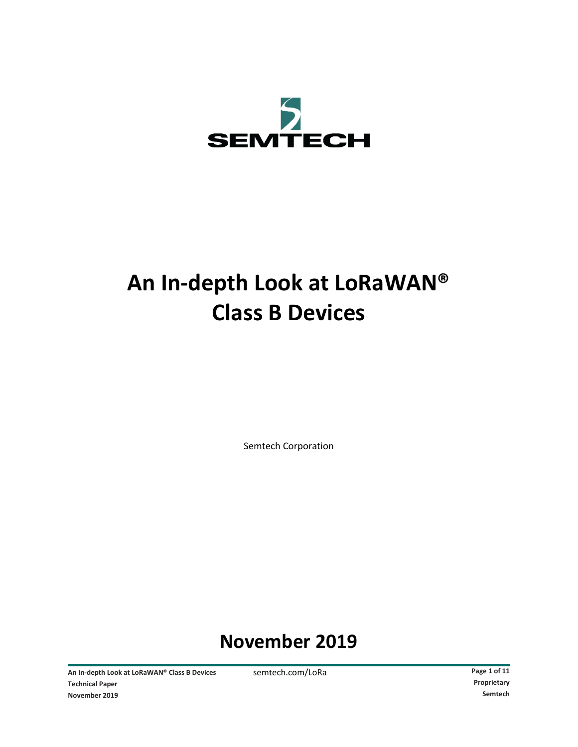

# **An In-depth Look at LoRaWAN® Class B Devices**

Semtech Corporation

# **November 2019**

An In-depth Look at LoRaWAN® Class B Devices semtech.com/LoRa **Page 1** of 11 **Technical Paper Proprietary November 2019 Semtech**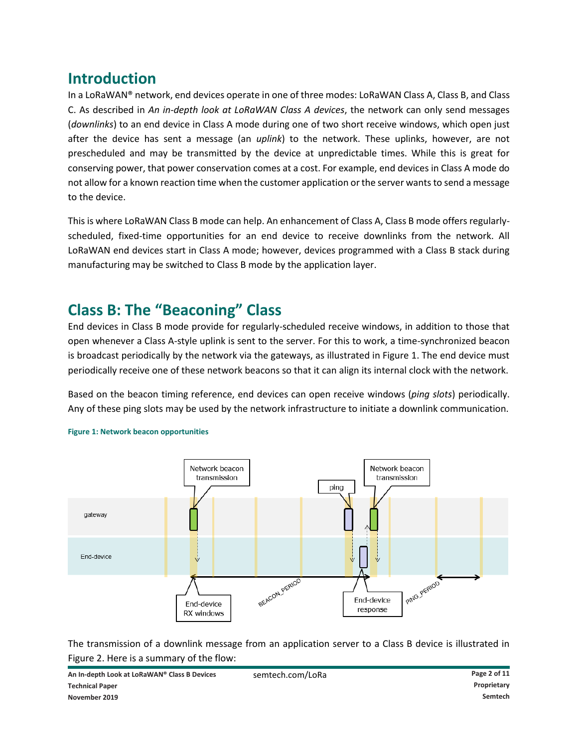# **Introduction**

In a LoRaWAN® network, end devices operate in one of three modes: LoRaWAN Class A, Class B, and Class C. As described in *An in-depth look at LoRaWAN Class A devices*, the network can only send messages (*downlinks*) to an end device in Class A mode during one of two short receive windows, which open just after the device has sent a message (an *uplink*) to the network. These uplinks, however, are not prescheduled and may be transmitted by the device at unpredictable times. While this is great for conserving power, that power conservation comes at a cost. For example, end devices in Class A mode do not allow for a known reaction time when the customer application or the server wants to send a message to the device.

This is where LoRaWAN Class B mode can help. An enhancement of Class A, Class B mode offers regularlyscheduled, fixed-time opportunities for an end device to receive downlinks from the network. All LoRaWAN end devices start in Class A mode; however, devices programmed with a Class B stack during manufacturing may be switched to Class B mode by the application layer.

### **Class B: The "Beaconing" Class**

End devices in Class B mode provide for regularly-scheduled receive windows, in addition to those that open whenever a Class A-style uplink is sent to the server. For this to work, a time-synchronized beacon is broadcast periodically by the network via the gateways, as illustrated in Figure 1. The end device must periodically receive one of these network beacons so that it can align its internal clock with the network.

Based on the beacon timing reference, end devices can open receive windows (*ping slots*) periodically. Any of these ping slots may be used by the network infrastructure to initiate a downlink communication.



#### **Figure 1: Network beacon opportunities**

The transmission of a downlink message from an application server to a Class B device is illustrated in Figure 2. Here is a summary of the flow: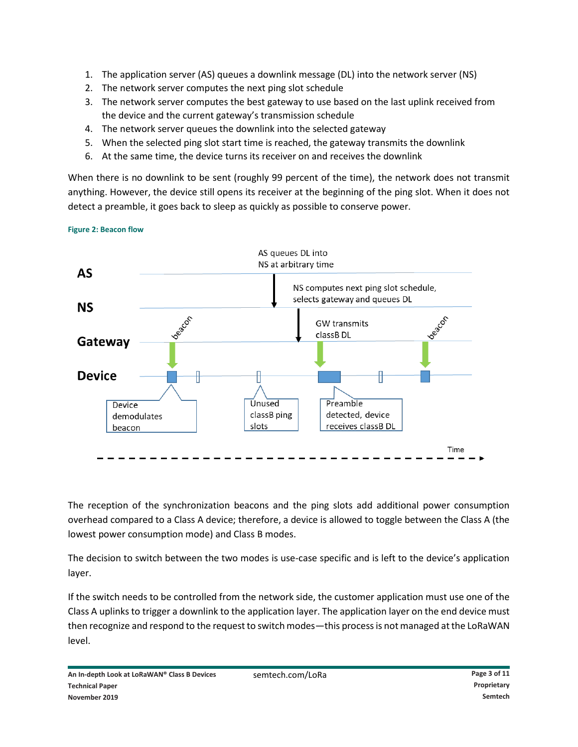- 1. The application server (AS) queues a downlink message (DL) into the network server (NS)
- 2. The network server computes the next ping slot schedule
- 3. The network server computes the best gateway to use based on the last uplink received from the device and the current gateway's transmission schedule
- 4. The network server queues the downlink into the selected gateway
- 5. When the selected ping slot start time is reached, the gateway transmits the downlink
- 6. At the same time, the device turns its receiver on and receives the downlink

When there is no downlink to be sent (roughly 99 percent of the time), the network does not transmit anything. However, the device still opens its receiver at the beginning of the ping slot. When it does not detect a preamble, it goes back to sleep as quickly as possible to conserve power.

**Figure 2: Beacon flow**



The reception of the synchronization beacons and the ping slots add additional power consumption overhead compared to a Class A device; therefore, a device is allowed to toggle between the Class A (the lowest power consumption mode) and Class B modes.

The decision to switch between the two modes is use-case specific and is left to the device's application layer.

If the switch needs to be controlled from the network side, the customer application must use one of the Class A uplinks to trigger a downlink to the application layer. The application layer on the end device must then recognize and respond to the request to switch modes—this process is not managed at the LoRaWAN level.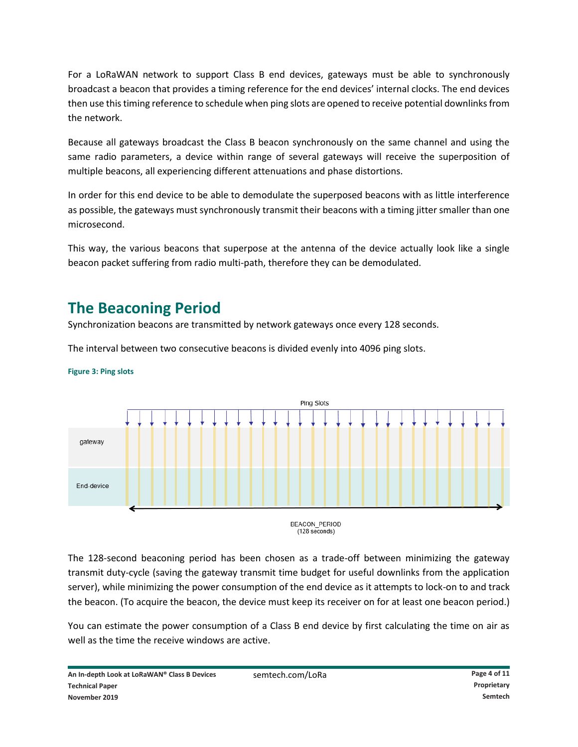For a LoRaWAN network to support Class B end devices, gateways must be able to synchronously broadcast a beacon that provides a timing reference for the end devices' internal clocks. The end devices then use this timing reference to schedule when ping slots are opened to receive potential downlinks from the network.

Because all gateways broadcast the Class B beacon synchronously on the same channel and using the same radio parameters, a device within range of several gateways will receive the superposition of multiple beacons, all experiencing different attenuations and phase distortions.

In order for this end device to be able to demodulate the superposed beacons with as little interference as possible, the gateways must synchronously transmit their beacons with a timing jitter smaller than one microsecond.

This way, the various beacons that superpose at the antenna of the device actually look like a single beacon packet suffering from radio multi-path, therefore they can be demodulated.

# **The Beaconing Period**

Synchronization beacons are transmitted by network gateways once every 128 seconds.

The interval between two consecutive beacons is divided evenly into 4096 ping slots.



**Figure 3: Ping slots**

**BEACON PERIOD**  $(128$  seconds)

The 128-second beaconing period has been chosen as a trade-off between minimizing the gateway transmit duty-cycle (saving the gateway transmit time budget for useful downlinks from the application server), while minimizing the power consumption of the end device as it attempts to lock-on to and track the beacon. (To acquire the beacon, the device must keep its receiver on for at least one beacon period.)

You can estimate the power consumption of a Class B end device by first calculating the time on air as well as the time the receive windows are active.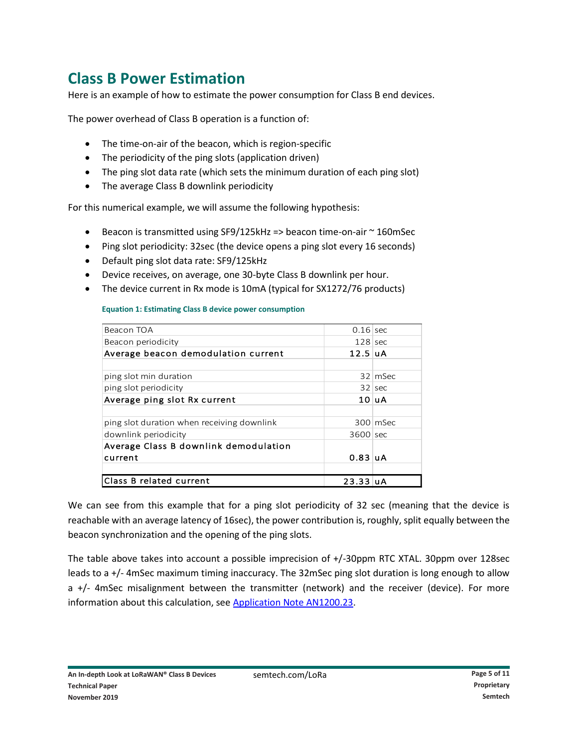# **Class B Power Estimation**

Here is an example of how to estimate the power consumption for Class B end devices.

The power overhead of Class B operation is a function of:

- The time-on-air of the beacon, which is region-specific
- The periodicity of the ping slots (application driven)
- The ping slot data rate (which sets the minimum duration of each ping slot)
- The average Class B downlink periodicity

For this numerical example, we will assume the following hypothesis:

- Beacon is transmitted using SF9/125kHz => beacon time-on-air ~ 160mSec
- Ping slot periodicity: 32sec (the device opens a ping slot every 16 seconds)
- Default ping slot data rate: SF9/125kHz
- Device receives, on average, one 30-byte Class B downlink per hour.
- The device current in Rx mode is 10mA (typical for SX1272/76 products)

**Equation 1: Estimating Class B device power consumption**

| $0.16$ sec   |               |
|--------------|---------------|
| $128$ sec    |               |
| $12.5$ uA    |               |
|              |               |
|              | 32 mSec       |
|              | 32 sec        |
|              | $10 \vert uA$ |
|              |               |
|              | 300 mSec      |
| 3600 sec     |               |
|              |               |
| $0.83$ $u$ A |               |
|              |               |
| $23.33$ uA   |               |
|              |               |

We can see from this example that for a ping slot periodicity of 32 sec (meaning that the device is reachable with an average latency of 16sec), the power contribution is, roughly, split equally between the beacon synchronization and the opening of the ping slots.

The table above takes into account a possible imprecision of +/-30ppm RTC XTAL. 30ppm over 128sec leads to a +/- 4mSec maximum timing inaccuracy. The 32mSec ping slot duration is long enough to allow a +/- 4mSec misalignment between the transmitter (network) and the receiver (device). For more information about this calculation, se[e Application Note AN1200.23.](https://www.semtech.com/uploads/documents/an1200.23.pdf)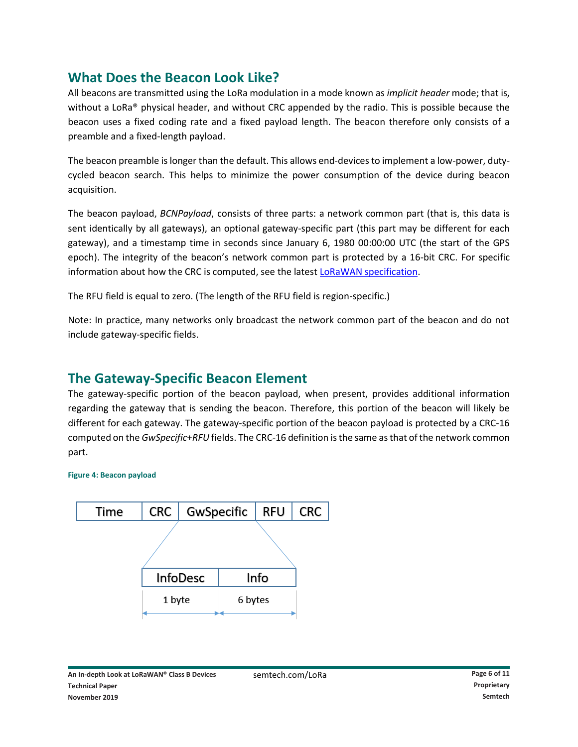### **What Does the Beacon Look Like?**

All beacons are transmitted using the LoRa modulation in a mode known as *implicit header* mode; that is, without a LoRa® physical header, and without CRC appended by the radio. This is possible because the beacon uses a fixed coding rate and a fixed payload length. The beacon therefore only consists of a preamble and a fixed-length payload.

The beacon preamble is longer than the default. This allows end-devices to implement a low-power, dutycycled beacon search. This helps to minimize the power consumption of the device during beacon acquisition.

The beacon payload, *BCNPayload*, consists of three parts: a network common part (that is, this data is sent identically by all gateways), an optional gateway-specific part (this part may be different for each gateway), and a timestamp time in seconds since January 6, 1980 00:00:00 UTC (the start of the GPS epoch). The integrity of the beacon's network common part is protected by a 16-bit CRC. For specific information about how the CRC is computed, see the latest [LoRaWAN specification.](https://lora-alliance.org/resource-hub/lorawanr-specification-v11)

The RFU field is equal to zero. (The length of the RFU field is region-specific.)

Note: In practice, many networks only broadcast the network common part of the beacon and do not include gateway-specific fields.

### **The Gateway-Specific Beacon Element**

The gateway-specific portion of the beacon payload, when present, provides additional information regarding the gateway that is sending the beacon. Therefore, this portion of the beacon will likely be different for each gateway. The gateway-specific portion of the beacon payload is protected by a CRC-16 computed on the *GwSpecific*+*RFU* fields. The CRC-16 definition is the same as that of the network common part.

#### **Figure 4: Beacon payload**

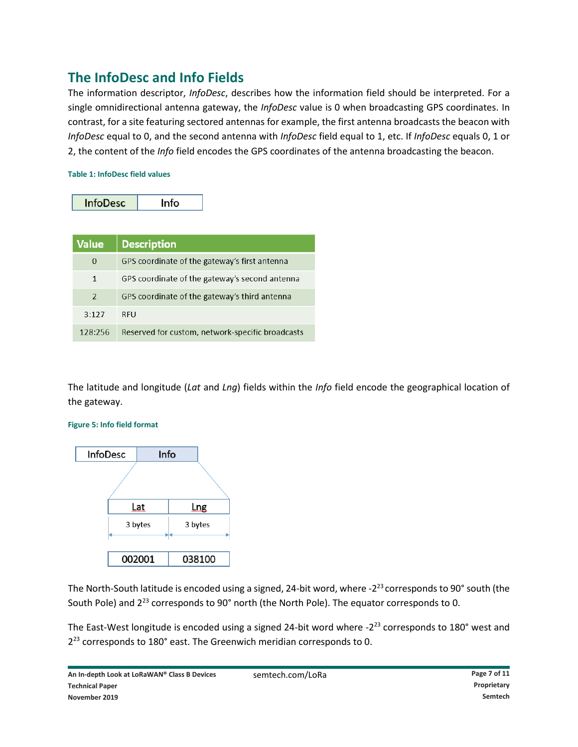### **The InfoDesc and Info Fields**

The information descriptor, *InfoDesc*, describes how the information field should be interpreted. For a single omnidirectional antenna gateway, the *InfoDesc* value is 0 when broadcasting GPS coordinates. In contrast, for a site featuring sectored antennas for example, the first antenna broadcasts the beacon with *InfoDesc* equal to 0, and the second antenna with *InfoDesc* field equal to 1, etc. If *InfoDesc* equals 0, 1 or 2, the content of the *Info* field encodes the GPS coordinates of the antenna broadcasting the beacon.

#### **Table 1: InfoDesc field values**

| <b>Value</b>             | <b>Description</b>                               |
|--------------------------|--------------------------------------------------|
| $\Omega$                 | GPS coordinate of the gateway's first antenna    |
| 1                        | GPS coordinate of the gateway's second antenna   |
| $\overline{\phantom{a}}$ | GPS coordinate of the gateway's third antenna    |
| 3:127                    | RFU                                              |
| 128:256                  | Reserved for custom, network-specific broadcasts |

The latitude and longitude (*Lat* and *Lng*) fields within the *Info* field encode the geographical location of the gateway.



#### **Figure 5: Info field format**

The North-South latitude is encoded using a signed, 24-bit word, where -2<sup>23</sup> corresponds to 90° south (the South Pole) and 2<sup>23</sup> corresponds to 90° north (the North Pole). The equator corresponds to 0.

The East-West longitude is encoded using a signed 24-bit word where -2<sup>23</sup> corresponds to 180° west and  $2^{23}$  corresponds to 180 $^{\circ}$  east. The Greenwich meridian corresponds to 0.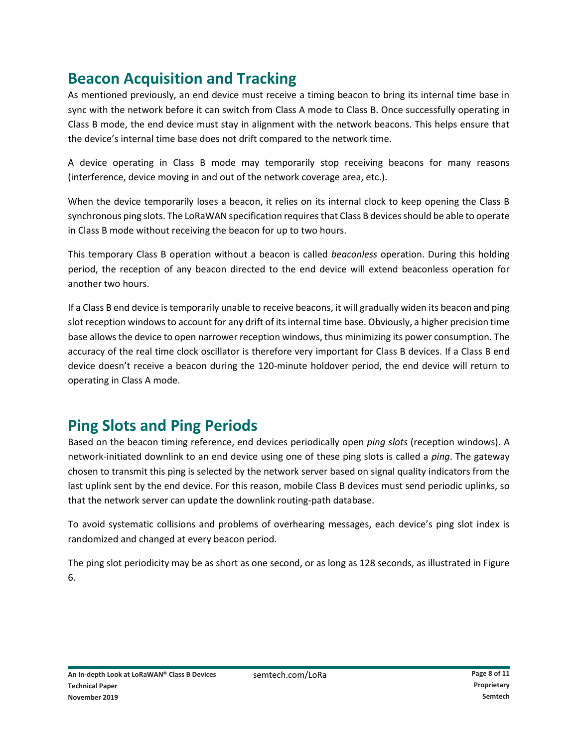# **Beacon Acquisition and Tracking**

As mentioned previously, an end device must receive a timing beacon to bring its internal time base in sync with the network before it can switch from Class A mode to Class B. Once successfully operating in Class B mode, the end device must stay in alignment with the network beacons. This helps ensure that the device's internal time base does not drift compared to the network time.

A device operating in Class B mode may temporarily stop receiving beacons for many reasons (interference, device moving in and out of the network coverage area, etc.).

When the device temporarily loses a beacon, it relies on its internal clock to keep opening the Class B synchronous ping slots. The LoRaWAN specification requires that Class B devices should be able to operate in Class B mode without receiving the beacon for up to two hours.

This temporary Class B operation without a beacon is called *beaconless* operation. During this holding period, the reception of any beacon directed to the end device will extend beaconless operation for another two hours.

If a Class B end device is temporarily unable to receive beacons, it will gradually widen its beacon and ping slot reception windows to account for any drift of its internal time base. Obviously, a higher precision time base allows the device to open narrower reception windows, thus minimizing its power consumption. The accuracy of the real time clock oscillator is therefore very important for Class B devices. If a Class B end device doesn't receive a beacon during the 120-minute holdover period, the end device will return to operating in Class A mode.

# **Ping Slots and Ping Periods**

Based on the beacon timing reference, end devices periodically open *ping slots* (reception windows). A network-initiated downlink to an end device using one of these ping slots is called a *ping*. The gateway chosen to transmit this ping is selected by the network server based on signal quality indicators from the last uplink sent by the end device. For this reason, mobile Class B devices must send periodic uplinks, so that the network server can update the downlink routing-path database.

To avoid systematic collisions and problems of overhearing messages, each device's ping slot index is randomized and changed at every beacon period.

The ping slot periodicity may be as short as one second, or as long as 128 seconds, as illustrated in Figure 6.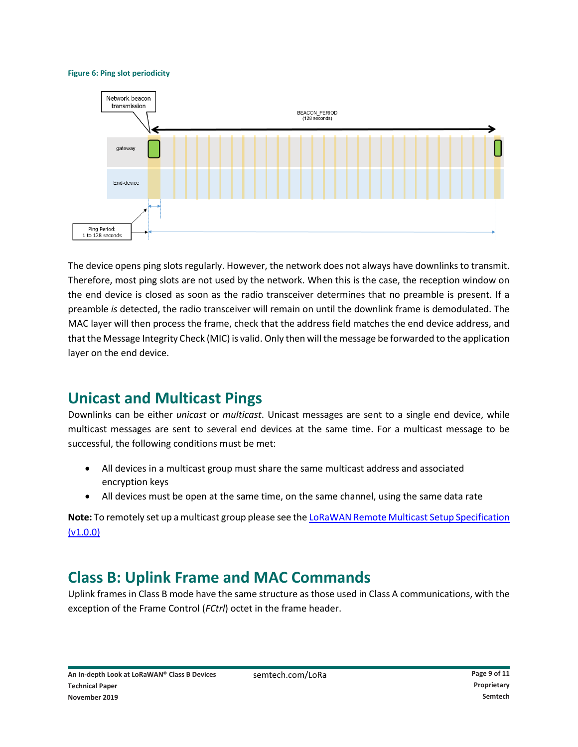#### **Figure 6: Ping slot periodicity**



The device opens ping slots regularly. However, the network does not always have downlinks to transmit. Therefore, most ping slots are not used by the network. When this is the case, the reception window on the end device is closed as soon as the radio transceiver determines that no preamble is present. If a preamble *is* detected, the radio transceiver will remain on until the downlink frame is demodulated. The MAC layer will then process the frame, check that the address field matches the end device address, and that the Message Integrity Check (MIC) is valid. Only then will the message be forwarded to the application layer on the end device.

### **Unicast and Multicast Pings**

Downlinks can be either *unicast* or *multicast*. Unicast messages are sent to a single end device, while multicast messages are sent to several end devices at the same time. For a multicast message to be successful, the following conditions must be met:

- All devices in a multicast group must share the same multicast address and associated encryption keys
- All devices must be open at the same time, on the same channel, using the same data rate

**Note:** To remotely set up a multicast group please see th[e LoRaWAN Remote Multicast Setup Specification](https://lora-alliance.org/sites/default/files/2018-09/remote_multicast_setup_v1.0.0.pdf)  [\(v1.0.0\)](https://lora-alliance.org/sites/default/files/2018-09/remote_multicast_setup_v1.0.0.pdf)

# **Class B: Uplink Frame and MAC Commands**

Uplink frames in Class B mode have the same structure as those used in Class A communications, with the exception of the Frame Control (*FCtrl*) octet in the frame header.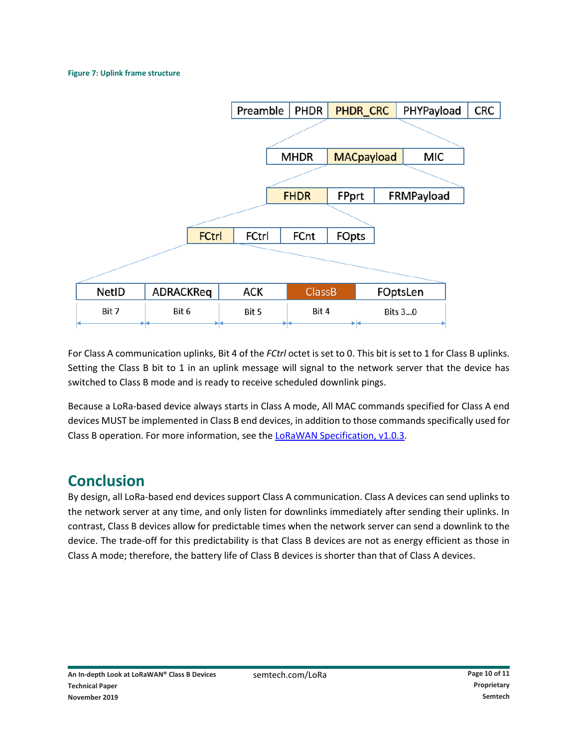#### **Figure 7: Uplink frame structure**



For Class A communication uplinks, Bit 4 of the *FCtrl* octet is set to 0. This bit is set to 1 for Class B uplinks. Setting the Class B bit to 1 in an uplink message will signal to the network server that the device has switched to Class B mode and is ready to receive scheduled downlink pings.

Because a LoRa-based device always starts in Class A mode, All MAC commands specified for Class A end devices MUST be implemented in Class B end devices, in addition to those commands specifically used for Class B operation. For more information, see th[e LoRaWAN Specification, v1.0.3.](https://lora-alliance.org/resource-hub/lorawanr-specification-v103)

### **Conclusion**

By design, all LoRa-based end devices support Class A communication. Class A devices can send uplinks to the network server at any time, and only listen for downlinks immediately after sending their uplinks. In contrast, Class B devices allow for predictable times when the network server can send a downlink to the device. The trade-off for this predictability is that Class B devices are not as energy efficient as those in Class A mode; therefore, the battery life of Class B devices is shorter than that of Class A devices.